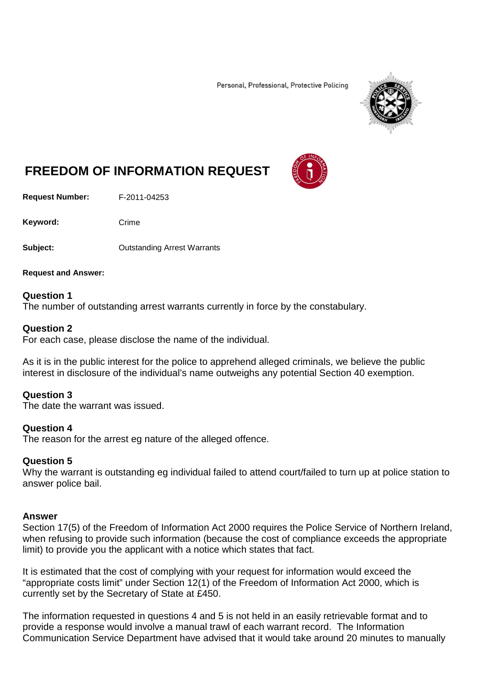Personal, Professional, Protective Policing



# **FREEDOM OF INFORMATION REQUEST**

**Request Number:** F-2011-04253

Keyword: Crime

**Subject:** Outstanding Arrest Warrants

**Request and Answer:**

# **Question 1**

The number of outstanding arrest warrants currently in force by the constabulary.

# **Question 2**

For each case, please disclose the name of the individual.

As it is in the public interest for the police to apprehend alleged criminals, we believe the public interest in disclosure of the individual's name outweighs any potential Section 40 exemption.

### **Question 3**

The date the warrant was issued.

### **Question 4**

The reason for the arrest eg nature of the alleged offence.

### **Question 5**

Why the warrant is outstanding eg individual failed to attend court/failed to turn up at police station to answer police bail.

### **Answer**

Section 17(5) of the Freedom of Information Act 2000 requires the Police Service of Northern Ireland, when refusing to provide such information (because the cost of compliance exceeds the appropriate limit) to provide you the applicant with a notice which states that fact.

It is estimated that the cost of complying with your request for information would exceed the "appropriate costs limit" under Section 12(1) of the Freedom of Information Act 2000, which is currently set by the Secretary of State at £450.

The information requested in questions 4 and 5 is not held in an easily retrievable format and to provide a response would involve a manual trawl of each warrant record. The Information Communication Service Department have advised that it would take around 20 minutes to manually